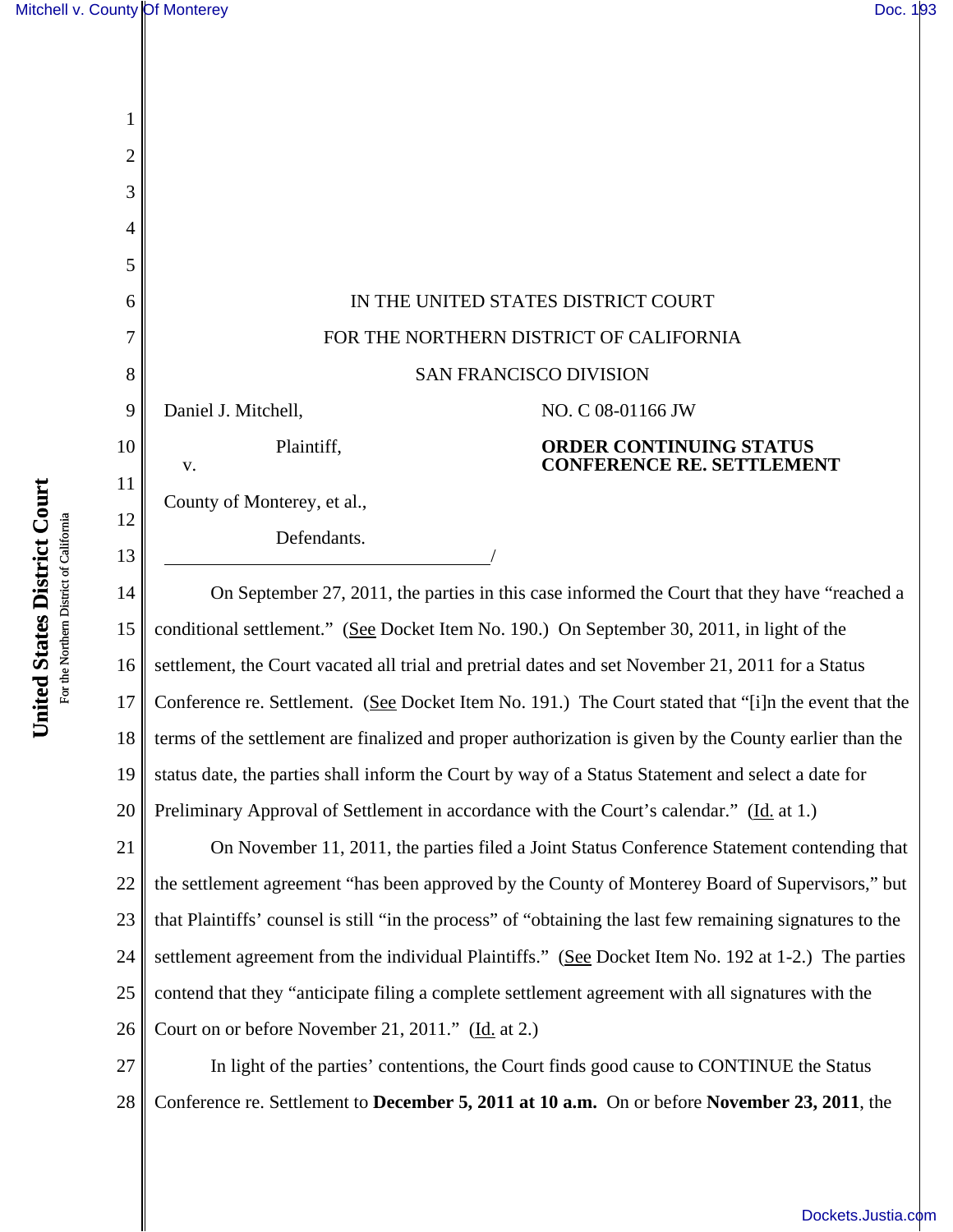| 1        |                                                                                                           |  |  |
|----------|-----------------------------------------------------------------------------------------------------------|--|--|
| 2        |                                                                                                           |  |  |
| 3        |                                                                                                           |  |  |
| 4        |                                                                                                           |  |  |
| 5        |                                                                                                           |  |  |
| 6        | IN THE UNITED STATES DISTRICT COURT                                                                       |  |  |
| 7        | FOR THE NORTHERN DISTRICT OF CALIFORNIA                                                                   |  |  |
| 8        | <b>SAN FRANCISCO DIVISION</b>                                                                             |  |  |
| 9        | Daniel J. Mitchell,<br>NO. C 08-01166 JW                                                                  |  |  |
| 10       | Plaintiff,<br><b>ORDER CONTINUING STATUS</b><br><b>CONFERENCE RE. SETTLEMENT</b><br>V.                    |  |  |
| 11       | County of Monterey, et al.,                                                                               |  |  |
| 12<br>13 | Defendants.                                                                                               |  |  |
| 14       | On September 27, 2011, the parties in this case informed the Court that they have "reached a              |  |  |
| 15       | conditional settlement." (See Docket Item No. 190.) On September 30, 2011, in light of the                |  |  |
| 16       | settlement, the Court vacated all trial and pretrial dates and set November 21, 2011 for a Status         |  |  |
| 17       | Conference re. Settlement. (See Docket Item No. 191.) The Court stated that "[i]n the event that the      |  |  |
| 18       | terms of the settlement are finalized and proper authorization is given by the County earlier than the    |  |  |
| 19       | status date, the parties shall inform the Court by way of a Status Statement and select a date for        |  |  |
| 20       | Preliminary Approval of Settlement in accordance with the Court's calendar." (Id. at 1.)                  |  |  |
| 21       | On November 11, 2011, the parties filed a Joint Status Conference Statement contending that               |  |  |
| 22       | the settlement agreement "has been approved by the County of Monterey Board of Supervisors," but          |  |  |
| 23       | that Plaintiffs' counsel is still "in the process" of "obtaining the last few remaining signatures to the |  |  |
| 24       | settlement agreement from the individual Plaintiffs." (See Docket Item No. 192 at 1-2.) The parties       |  |  |
| 25       | contend that they "anticipate filing a complete settlement agreement with all signatures with the         |  |  |
| 26       | Court on or before November 21, 2011." (Id. at 2.)                                                        |  |  |
| 27       | In light of the parties' contentions, the Court finds good cause to CONTINUE the Status                   |  |  |
| 28       | Conference re. Settlement to December 5, 2011 at 10 a.m. On or before November 23, 2011, the              |  |  |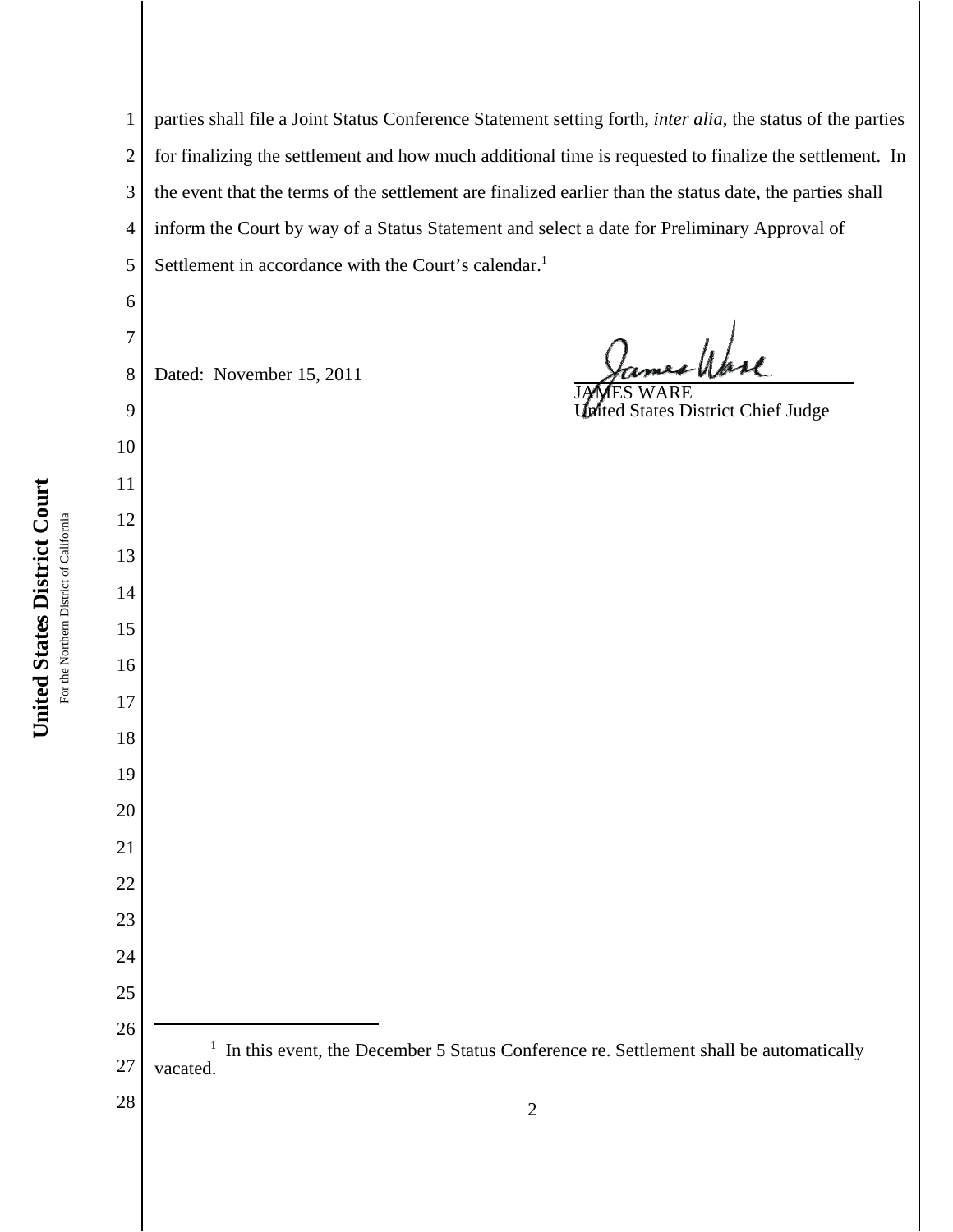parties shall file a Joint Status Conference Statement setting forth, *inter alia*, the status of the parties for finalizing the settlement and how much additional time is requested to finalize the settlement. In the event that the terms of the settlement are finalized earlier than the status date, the parties shall inform the Court by way of a Status Statement and select a date for Preliminary Approval of Settlement in accordance with the Court's calendar.<sup>1</sup>

Dated: November 15, 2011

realpha

JAMES WARE United States District Chief Judge

 <sup>1</sup> In this event, the December 5 Status Conference re. Settlement shall be automatically vacated.